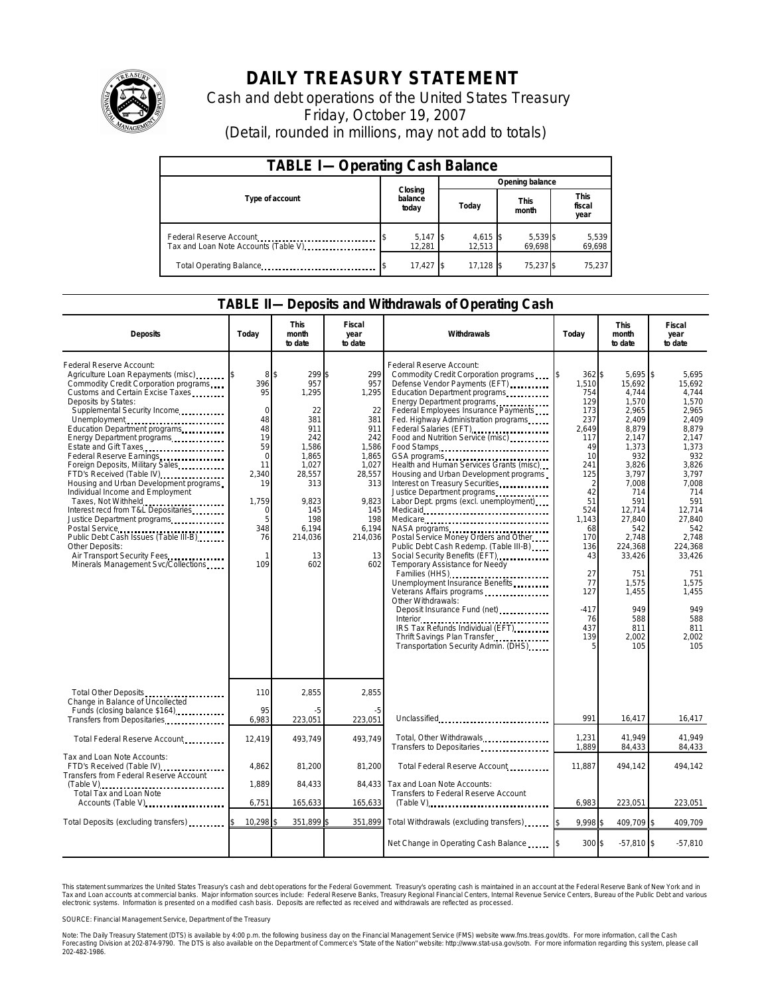

# **DAILY TREASURY STATEMENT**

Cash and debt operations of the United States Treasury Friday, October 19, 2007 (Detail, rounded in millions, may not add to totals)

| <b>TABLE I-Operating Cash Balance</b>                           |                             |                      |       |                      |                      |                    |  |                               |  |
|-----------------------------------------------------------------|-----------------------------|----------------------|-------|----------------------|----------------------|--------------------|--|-------------------------------|--|
|                                                                 |                             |                      |       | Opening balance      |                      |                    |  |                               |  |
| Type of account                                                 | Closing<br>balance<br>today |                      | Today |                      | <b>This</b><br>month |                    |  | <b>This</b><br>fiscal<br>year |  |
| Federal Reserve Account<br>Tax and Loan Note Accounts (Table V) |                             | $5,147$ \$<br>12.281 |       | $4,615$ \$<br>12.513 |                      | 5,539 \$<br>69.698 |  | 5,539<br>69,698               |  |
| Total Operating Balance                                         |                             | 17,427               |       | 17.128               |                      | 75.237 \$          |  | 75,237                        |  |

#### **TABLE II—Deposits and Withdrawals of Operating Cash**

| <b>Deposits</b>                                                                                                                                                                                                                                                                                                                                                                                                                                                                                                                                                                                                                                                                                                                        | Todav                                                                                                                             | <b>This</b><br>month<br>to date                                                                                                                             | <b>Fiscal</b><br>year<br>to date                                                                                                                   | Withdrawals                                                                                                                                                                                                                                                                                                                                                                                                                                                                                                                                                                                                                                                                                                                                                                                                                                                                                                                                                                                      | Today                                                                                                                                                                                                          | <b>This</b><br>month<br>to date                                                                                                                                                                                                                          | Fiscal<br>year<br>to date                                                                                                                                                                                                                             |
|----------------------------------------------------------------------------------------------------------------------------------------------------------------------------------------------------------------------------------------------------------------------------------------------------------------------------------------------------------------------------------------------------------------------------------------------------------------------------------------------------------------------------------------------------------------------------------------------------------------------------------------------------------------------------------------------------------------------------------------|-----------------------------------------------------------------------------------------------------------------------------------|-------------------------------------------------------------------------------------------------------------------------------------------------------------|----------------------------------------------------------------------------------------------------------------------------------------------------|--------------------------------------------------------------------------------------------------------------------------------------------------------------------------------------------------------------------------------------------------------------------------------------------------------------------------------------------------------------------------------------------------------------------------------------------------------------------------------------------------------------------------------------------------------------------------------------------------------------------------------------------------------------------------------------------------------------------------------------------------------------------------------------------------------------------------------------------------------------------------------------------------------------------------------------------------------------------------------------------------|----------------------------------------------------------------------------------------------------------------------------------------------------------------------------------------------------------------|----------------------------------------------------------------------------------------------------------------------------------------------------------------------------------------------------------------------------------------------------------|-------------------------------------------------------------------------------------------------------------------------------------------------------------------------------------------------------------------------------------------------------|
| Federal Reserve Account:<br>Agriculture Loan Repayments (misc)<br>Commodity Credit Corporation programs<br>Customs and Certain Excise Taxes<br>Deposits by States:<br>Supplemental Security Income<br>Unemployment<br>Education Department programs<br>Energy Department programs<br>Estate and Gift Taxes<br>Federal Reserve Earnings<br>Foreign Deposits, Military Sales<br>FTD's Received (Table IV)<br>Housing and Urban Development programs<br>Individual Income and Employment<br>Taxes, Not Withheld<br>Interest recd from T&L Depositaries<br>Justice Department programs<br>Postal Service<br>Public Debt Cash Issues (Table III-B)<br>Other Deposits:<br>Air Transport Security Fees<br>Minerals Management Svc/Collections | 8<br>396<br>95<br>$\Omega$<br>48<br>48<br>19<br>59<br>$\Omega$<br>11<br>2,340<br>19<br>1,759<br>$\Omega$<br>5<br>348<br>76<br>109 | 299 \$<br>\$<br>957<br>1,295<br>22<br>381<br>911<br>242<br>1,586<br>1.865<br>1,027<br>28,557<br>313<br>9.823<br>145<br>198<br>6.194<br>214,036<br>13<br>602 | 299<br>957<br>1,295<br>22<br>381<br>911<br>242<br>1,586<br>1.865<br>1.027<br>28,557<br>313<br>9.823<br>145<br>198<br>6,194<br>214,036<br>13<br>602 | Federal Reserve Account:<br>Commodity Credit Corporation programs<br>Defense Vendor Payments (EFT)<br>Education Department programs<br>Energy Department programs<br>Federal Employees Insurance Payments<br>Fed. Highway Administration programs<br>Federal Salaries (EFT)<br>Food and Nutrition Service (misc)<br>Food Stamps<br>GSA programs<br>Health and Human Services Grants (misc)<br>Housing and Urban Development programs<br>Interest on Treasury Securities<br>Justice Department programs<br>Labor Dept. prgms (excl. unemployment)<br>Medicare<br>NASA programs<br>Postal Service Money Orders and Other<br>Public Debt Cash Redemp. (Table III-B)<br>Social Security Benefits (EFT)<br>Temporary Assistance for Needy<br>Families (HHS) <b></b><br>Unemployment Insurance Benefits<br>Veterans Affairs programs<br>Other Withdrawals:<br>Deposit Insurance Fund (net)<br>IRS Tax Refunds Individual (EFT)<br>Thrift Savings Plan Transfer<br>Transportation Security Admin. (DHS) | 362 \$<br>1,510<br>754<br>129<br>173<br>237<br>2,649<br>117<br>49<br>10<br>241<br>125<br>$\overline{2}$<br>42<br>51<br>524<br>1,143<br>68<br>170<br>136<br>43<br>27<br>77<br>127<br>$-417$<br>76<br>437<br>139 | 5,695 \$<br>15.692<br>4,744<br>1,570<br>2.965<br>2,409<br>8,879<br>2,147<br>1,373<br>932<br>3.826<br>3,797<br>7,008<br>714<br>591<br>12.714<br>27,840<br>542<br>2,748<br>224,368<br>33,426<br>751<br>1,575<br>1,455<br>949<br>588<br>811<br>2,002<br>105 | 5,695<br>15.692<br>4.744<br>1.570<br>2.965<br>2,409<br>8,879<br>2,147<br>1.373<br>932<br>3.826<br>3,797<br>7.008<br>714<br>591<br>12.714<br>27,840<br>542<br>2,748<br>224.368<br>33,426<br>751<br>1,575<br>1,455<br>949<br>588<br>811<br>2.002<br>105 |
| Total Other Deposits<br>Change in Balance of Uncollected                                                                                                                                                                                                                                                                                                                                                                                                                                                                                                                                                                                                                                                                               | 110                                                                                                                               | 2,855                                                                                                                                                       | 2,855                                                                                                                                              |                                                                                                                                                                                                                                                                                                                                                                                                                                                                                                                                                                                                                                                                                                                                                                                                                                                                                                                                                                                                  |                                                                                                                                                                                                                |                                                                                                                                                                                                                                                          |                                                                                                                                                                                                                                                       |
| Funds (closing balance \$164)<br>Transfers from Depositaries                                                                                                                                                                                                                                                                                                                                                                                                                                                                                                                                                                                                                                                                           | 95<br>6,983                                                                                                                       | -5<br>223,051                                                                                                                                               | -5<br>223,051                                                                                                                                      | Unclassified                                                                                                                                                                                                                                                                                                                                                                                                                                                                                                                                                                                                                                                                                                                                                                                                                                                                                                                                                                                     | 991                                                                                                                                                                                                            | 16,417                                                                                                                                                                                                                                                   | 16,417                                                                                                                                                                                                                                                |
| Total Federal Reserve Account                                                                                                                                                                                                                                                                                                                                                                                                                                                                                                                                                                                                                                                                                                          | 12,419                                                                                                                            | 493,749                                                                                                                                                     | 493,749                                                                                                                                            | Total, Other Withdrawals<br>Transfers to Depositaries                                                                                                                                                                                                                                                                                                                                                                                                                                                                                                                                                                                                                                                                                                                                                                                                                                                                                                                                            | 1,231<br>1,889                                                                                                                                                                                                 | 41.949<br>84,433                                                                                                                                                                                                                                         | 41.949<br>84,433                                                                                                                                                                                                                                      |
| Tax and Loan Note Accounts:<br>FTD's Received (Table IV)<br><b>Transfers from Federal Reserve Account</b>                                                                                                                                                                                                                                                                                                                                                                                                                                                                                                                                                                                                                              | 4,862                                                                                                                             | 81,200                                                                                                                                                      | 81,200                                                                                                                                             | Total Federal Reserve Account                                                                                                                                                                                                                                                                                                                                                                                                                                                                                                                                                                                                                                                                                                                                                                                                                                                                                                                                                                    | 11,887                                                                                                                                                                                                         | 494.142                                                                                                                                                                                                                                                  | 494.142                                                                                                                                                                                                                                               |
| Total Tax and Loan Note<br>Accounts (Table V)                                                                                                                                                                                                                                                                                                                                                                                                                                                                                                                                                                                                                                                                                          | 1,889<br>Tax and Loan Note Accounts:<br>84,433<br>84,433<br>Transfers to Federal Reserve Account<br>6,751<br>165,633<br>165,633   |                                                                                                                                                             | 6,983                                                                                                                                              | 223,051                                                                                                                                                                                                                                                                                                                                                                                                                                                                                                                                                                                                                                                                                                                                                                                                                                                                                                                                                                                          | 223,051                                                                                                                                                                                                        |                                                                                                                                                                                                                                                          |                                                                                                                                                                                                                                                       |
|                                                                                                                                                                                                                                                                                                                                                                                                                                                                                                                                                                                                                                                                                                                                        |                                                                                                                                   |                                                                                                                                                             |                                                                                                                                                    | $(Table V)$                                                                                                                                                                                                                                                                                                                                                                                                                                                                                                                                                                                                                                                                                                                                                                                                                                                                                                                                                                                      |                                                                                                                                                                                                                |                                                                                                                                                                                                                                                          |                                                                                                                                                                                                                                                       |
| Total Deposits (excluding transfers) [100]                                                                                                                                                                                                                                                                                                                                                                                                                                                                                                                                                                                                                                                                                             | 10,298                                                                                                                            | 351,899                                                                                                                                                     | 351,899                                                                                                                                            | Total Withdrawals (excluding transfers)                                                                                                                                                                                                                                                                                                                                                                                                                                                                                                                                                                                                                                                                                                                                                                                                                                                                                                                                                          | 9.998 \$                                                                                                                                                                                                       | 409.709                                                                                                                                                                                                                                                  | $\mathfrak{L}$<br>409.709                                                                                                                                                                                                                             |
|                                                                                                                                                                                                                                                                                                                                                                                                                                                                                                                                                                                                                                                                                                                                        |                                                                                                                                   |                                                                                                                                                             |                                                                                                                                                    | Net Change in Operating Cash Balance                                                                                                                                                                                                                                                                                                                                                                                                                                                                                                                                                                                                                                                                                                                                                                                                                                                                                                                                                             | 300 \$                                                                                                                                                                                                         | $-57,810$ \$                                                                                                                                                                                                                                             | $-57,810$                                                                                                                                                                                                                                             |

This statement summarizes the United States Treasury's cash and debt operations for the Federal Government.<br>Tax and Loan accounts at commercial banks. Major information sources include: Federal Reserve Banks, Trea<br>electr narizes the United States Treasury's cash and debt operations for the Federal Government. Treasury's operating cash is maintained in an account at the Federal Reserve Bank of New York and in<br>nts at commercial banks. Major

SOURCE: Financial Management Service, Department of the Treasury

Note: The Daily Treasury Statement (DTS) is available by 4:00 p.m. the following business day on the Financial Management Service (FMS) website www.fms.treas.gov/dts. For more information, call the Cash<br>Forecasting Divisio 202-482-1986.